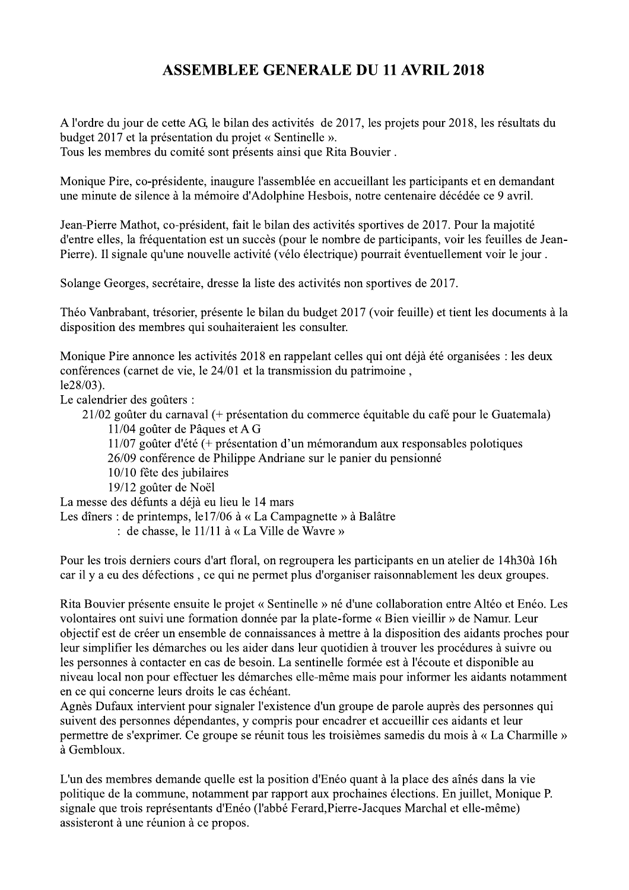## **ASSEMBLEE GENERALE DU 11 AVRIL 2018**

A l'ordre du jour de cette AG, le bilan des activités de 2017, les projets pour 2018, les résultats du budget 2017 et la présentation du projet « Sentinelle ». Tous les membres du comité sont présents ainsi que Rita Bouvier.

Monique Pire, co-présidente, inaugure l'assemblée en accueillant les participants et en demandant une minute de silence à la mémoire d'Adolphine Hesbois, notre centenaire décédée ce 9 avril.

Jean-Pierre Mathot, co-président, fait le bilan des activités sportives de 2017. Pour la majotité d'entre elles, la fréquentation est un succès (pour le nombre de participants, voir les feuilles de Jean-Pierre). Il signale qu'une nouvelle activité (vélo électrique) pourrait éventuellement voir le jour.

Solange Georges, secrétaire, dresse la liste des activités non sportives de 2017.

Théo Vanbrabant, trésorier, présente le bilan du budget 2017 (voir feuille) et tient les documents à la disposition des membres qui souhaiteraient les consulter.

Monique Pire annonce les activités 2018 en rappelant celles qui ont déjà été organisées : les deux conférences (carnet de vie, le 24/01 et la transmission du patrimoine,  $le28/03$ ).

Le calendrier des goûters :

21/02 goûter du carnaval (+ présentation du commerce équitable du café pour le Guatemala)

11/04 goûter de Pâques et A G

 $11/07$  goûter d'été (+ présentation d'un mémorandum aux responsables polotiques

26/09 conférence de Philippe Andriane sur le panier du pensionné

- 10/10 fête des jubilaires
- 19/12 goûter de Noël

La messe des défunts a déjà eu lieu le 14 mars

Les dîners : de printemps, le17/06 à « La Campagnette » à Balâtre

: de chasse, le 11/11 à « La Ville de Wavre »

Pour les trois derniers cours d'art floral, on regroupera les participants en un atelier de 14h30à 16h car il y a eu des défections, ce qui ne permet plus d'organiser raisonnablement les deux groupes.

Rita Bouvier présente ensuite le projet « Sentinelle » né d'une collaboration entre Altéo et Enéo. Les volontaires ont suivi une formation donnée par la plate-forme « Bien vieillir » de Namur. Leur objectif est de créer un ensemble de connaissances à mettre à la disposition des aidants proches pour leur simplifier les démarches ou les aider dans leur quotidien à trouver les procédures à suivre ou les personnes à contacter en cas de besoin. La sentinelle formée est à l'écoute et disponible au niveau local non pour effectuer les démarches elle-même mais pour informer les aidants notamment en ce qui concerne leurs droits le cas échéant.

Agnès Dufaux intervient pour signaler l'existence d'un groupe de parole auprès des personnes qui suivent des personnes dépendantes, y compris pour encadrer et accueillir ces aidants et leur permettre de s'exprimer. Ce groupe se réunit tous les troisièmes samedis du mois à « La Charmille » à Gembloux.

L'un des membres demande quelle est la position d'Enéo quant à la place des aînés dans la vie politique de la commune, notamment par rapport aux prochaines élections. En juillet, Monique P. signale que trois représentants d'Enéo (l'abbé Ferard, Pierre-Jacques Marchal et elle-même) assisteront à une réunion à ce propos.